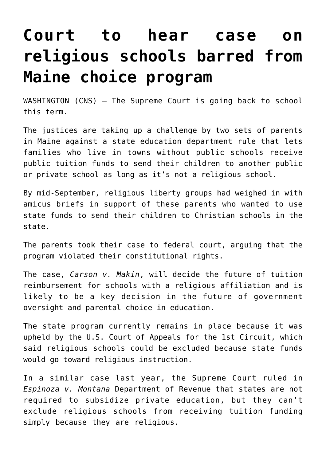## **[Court to hear case on](https://www.osvnews.com/amp/2021/09/16/court-to-hear-case-on-religious-schools-barred-from-maine-choice-program/) [religious schools barred from](https://www.osvnews.com/amp/2021/09/16/court-to-hear-case-on-religious-schools-barred-from-maine-choice-program/) [Maine choice program](https://www.osvnews.com/amp/2021/09/16/court-to-hear-case-on-religious-schools-barred-from-maine-choice-program/)**

WASHINGTON (CNS) — The Supreme Court is going back to school this term.

The justices are taking up a challenge by two sets of parents in Maine against a state education department rule that lets families who live in towns without public schools receive public tuition funds to send their children to another public or private school as long as it's not a religious school.

By mid-September, religious liberty groups had weighed in with amicus briefs in support of these parents who wanted to use state funds to send their children to Christian schools in the state.

The parents took their case to federal court, arguing that the program violated their constitutional rights.

The case, *Carson v. Makin*, will decide the future of tuition reimbursement for schools with a religious affiliation and is likely to be a key decision in the future of government oversight and parental choice in education.

The state program currently remains in place because it was upheld by the U.S. Court of Appeals for the 1st Circuit, which said religious schools could be excluded because state funds would go toward religious instruction.

In a similar case last year, the Supreme Court ruled in *Espinoza v. Montana* Department of Revenue that states are not required to subsidize private education, but they can't exclude religious schools from receiving tuition funding simply because they are religious.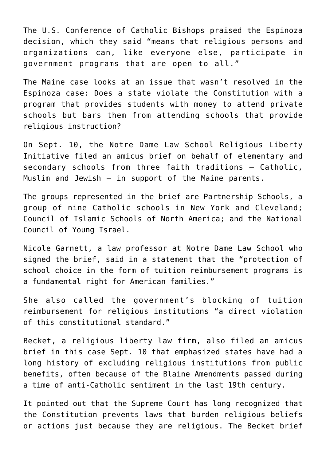The U.S. Conference of Catholic Bishops praised the Espinoza decision, which they said "means that religious persons and organizations can, like everyone else, participate in government programs that are open to all."

The Maine case looks at an issue that wasn't resolved in the Espinoza case: Does a state violate the Constitution with a program that provides students with money to attend private schools but bars them from attending schools that provide religious instruction?

On Sept. 10, the Notre Dame Law School Religious Liberty Initiative filed an amicus brief on behalf of elementary and secondary schools from three faith traditions — Catholic, Muslim and Jewish — in support of the Maine parents.

The groups represented in the brief are Partnership Schools, a group of nine Catholic schools in New York and Cleveland; Council of Islamic Schools of North America; and the National Council of Young Israel.

Nicole Garnett, a law professor at Notre Dame Law School who signed the brief, said in a statement that the "protection of school choice in the form of tuition reimbursement programs is a fundamental right for American families."

She also called the government's blocking of tuition reimbursement for religious institutions "a direct violation of this constitutional standard."

Becket, a religious liberty law firm, also filed an amicus brief in this case Sept. 10 that emphasized states have had a long history of excluding religious institutions from public benefits, often because of the Blaine Amendments passed during a time of anti-Catholic sentiment in the last 19th century.

It pointed out that the Supreme Court has long recognized that the Constitution prevents laws that burden religious beliefs or actions just because they are religious. The Becket brief